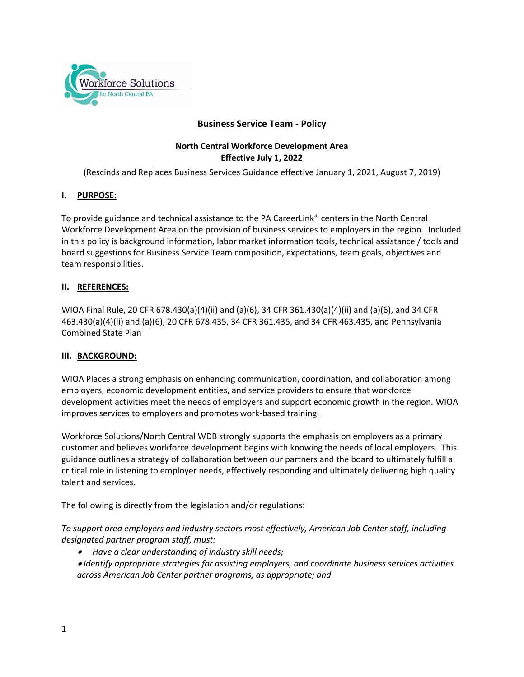

## **Business Service Team - Policy**

## **North Central Workforce Development Area Effective July 1, 2022**

(Rescinds and Replaces Business Services Guidance effective January 1, 2021, August 7, 2019)

### **I. PURPOSE:**

To provide guidance and technical assistance to the PA CareerLink® centers in the North Central Workforce Development Area on the provision of business services to employers in the region. Included in this policy is background information, labor market information tools, technical assistance / tools and board suggestions for Business Service Team composition, expectations, team goals, objectives and team responsibilities.

### **II. REFERENCES:**

WIOA Final Rule, 20 CFR 678.430(a)(4)(ii) and (a)(6), 34 CFR 361.430(a)(4)(ii) and (a)(6), and 34 CFR 463.430(a)(4)(ii) and (a)(6), 20 CFR 678.435, 34 CFR 361.435, and 34 CFR 463.435, and Pennsylvania Combined State Plan

### **III. BACKGROUND:**

WIOA Places a strong emphasis on enhancing communication, coordination, and collaboration among employers, economic development entities, and service providers to ensure that workforce development activities meet the needs of employers and support economic growth in the region. WIOA improves services to employers and promotes work-based training.

Workforce Solutions/North Central WDB strongly supports the emphasis on employers as a primary customer and believes workforce development begins with knowing the needs of local employers. This guidance outlines a strategy of collaboration between our partners and the board to ultimately fulfill a critical role in listening to employer needs, effectively responding and ultimately delivering high quality talent and services.

The following is directly from the legislation and/or regulations:

*To support area employers and industry sectors most effectively, American Job Center staff, including designated partner program staff, must:* 

*Have a clear understanding of industry skill needs;* 

 *Identify appropriate strategies for assisting employers, and coordinate business services activities across American Job Center partner programs, as appropriate; and*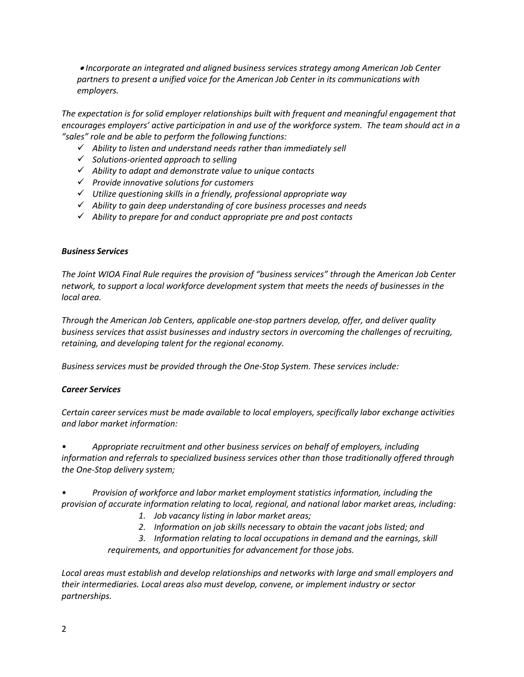*Incorporate an integrated and aligned business services strategy among American Job Center partners to present a unified voice for the American Job Center in its communications with employers.* 

*The expectation is for solid employer relationships built with frequent and meaningful engagement that encourages employers' active participation in and use of the workforce system. The team should act in a "sales" role and be able to perform the following functions:*

- *Ability to listen and understand needs rather than immediately sell*
- *Solutions-oriented approach to selling*
- *Ability to adapt and demonstrate value to unique contacts*
- *Provide innovative solutions for customers*
- *Utilize questioning skills in a friendly, professional appropriate way*
- *Ability to gain deep understanding of core business processes and needs*
- *Ability to prepare for and conduct appropriate pre and post contacts*

#### *Business Services*

*The Joint WIOA Final Rule requires the provision of "business services" through the American Job Center network, to support a local workforce development system that meets the needs of businesses in the local area.*

*Through the American Job Centers, applicable one-stop partners develop, offer, and deliver quality business services that assist businesses and industry sectors in overcoming the challenges of recruiting, retaining, and developing talent for the regional economy.* 

*Business services must be provided through the One-Stop System. These services include:*

### *Career Services*

*Certain career services must be made available to local employers, specifically labor exchange activities and labor market information:*

*• Appropriate recruitment and other business services on behalf of employers, including information and referrals to specialized business services other than those traditionally offered through the One-Stop delivery system;* 

*• Provision of workforce and labor market employment statistics information, including the provision of accurate information relating to local, regional, and national labor market areas, including:* 

- *1. Job vacancy listing in labor market areas;*
- *2. Information on job skills necessary to obtain the vacant jobs listed; and*

*3. Information relating to local occupations in demand and the earnings, skill requirements, and opportunities for advancement for those jobs.* 

*Local areas must establish and develop relationships and networks with large and small employers and their intermediaries. Local areas also must develop, convene, or implement industry or sector partnerships.*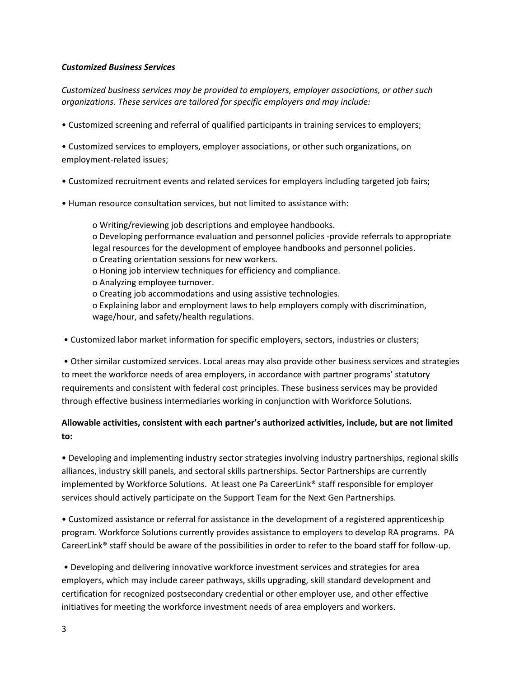### *Customized Business Services*

*Customized business services may be provided to employers, employer associations, or other such organizations. These services are tailored for specific employers and may include:* 

• Customized screening and referral of qualified participants in training services to employers;

• Customized services to employers, employer associations, or other such organizations, on employment-related issues;

- Customized recruitment events and related services for employers including targeted job fairs;
- Human resource consultation services, but not limited to assistance with:

o Writing/reviewing job descriptions and employee handbooks. o Developing performance evaluation and personnel policies -provide referrals to appropriate legal resources for the development of employee handbooks and personnel policies. o Creating orientation sessions for new workers. o Honing job interview techniques for efficiency and compliance. o Analyzing employee turnover. o Creating job accommodations and using assistive technologies. o Explaining labor and employment laws to help employers comply with discrimination, wage/hour, and safety/health regulations.

• Customized labor market information for specific employers, sectors, industries or clusters;

• Other similar customized services. Local areas may also provide other business services and strategies to meet the workforce needs of area employers, in accordance with partner programs' statutory requirements and consistent with federal cost principles. These business services may be provided through effective business intermediaries working in conjunction with Workforce Solutions.

# **Allowable activities, consistent with each partner's authorized activities, include, but are not limited to:**

• Developing and implementing industry sector strategies involving industry partnerships, regional skills alliances, industry skill panels, and sectoral skills partnerships. Sector Partnerships are currently implemented by Workforce Solutions. At least one Pa CareerLink® staff responsible for employer services should actively participate on the Support Team for the Next Gen Partnerships.

• Customized assistance or referral for assistance in the development of a registered apprenticeship program. Workforce Solutions currently provides assistance to employers to develop RA programs. PA CareerLink® staff should be aware of the possibilities in order to refer to the board staff for follow-up.

• Developing and delivering innovative workforce investment services and strategies for area employers, which may include career pathways, skills upgrading, skill standard development and certification for recognized postsecondary credential or other employer use, and other effective initiatives for meeting the workforce investment needs of area employers and workers.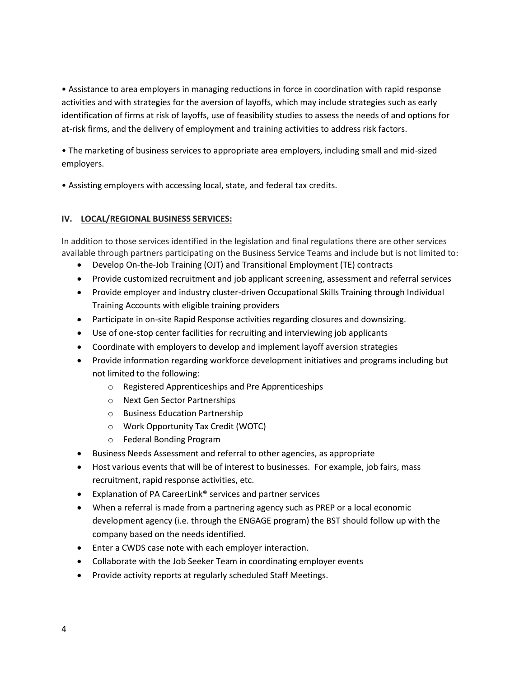• Assistance to area employers in managing reductions in force in coordination with rapid response activities and with strategies for the aversion of layoffs, which may include strategies such as early identification of firms at risk of layoffs, use of feasibility studies to assess the needs of and options for at-risk firms, and the delivery of employment and training activities to address risk factors.

• The marketing of business services to appropriate area employers, including small and mid-sized employers.

• Assisting employers with accessing local, state, and federal tax credits.

## **IV. LOCAL/REGIONAL BUSINESS SERVICES:**

In addition to those services identified in the legislation and final regulations there are other services available through partners participating on the Business Service Teams and include but is not limited to:

- Develop On-the-Job Training (OJT) and Transitional Employment (TE) contracts
- Provide customized recruitment and job applicant screening, assessment and referral services
- Provide employer and industry cluster-driven Occupational Skills Training through Individual Training Accounts with eligible training providers
- Participate in on-site Rapid Response activities regarding closures and downsizing.
- Use of one-stop center facilities for recruiting and interviewing job applicants
- Coordinate with employers to develop and implement layoff aversion strategies
- Provide information regarding workforce development initiatives and programs including but not limited to the following:
	- o Registered Apprenticeships and Pre Apprenticeships
	- o Next Gen Sector Partnerships
	- o Business Education Partnership
	- o Work Opportunity Tax Credit (WOTC)
	- o Federal Bonding Program
- Business Needs Assessment and referral to other agencies, as appropriate
- Host various events that will be of interest to businesses. For example, job fairs, mass recruitment, rapid response activities, etc.
- Explanation of PA CareerLink<sup>®</sup> services and partner services
- When a referral is made from a partnering agency such as PREP or a local economic development agency (i.e. through the ENGAGE program) the BST should follow up with the company based on the needs identified.
- Enter a CWDS case note with each employer interaction.
- Collaborate with the Job Seeker Team in coordinating employer events
- Provide activity reports at regularly scheduled Staff Meetings.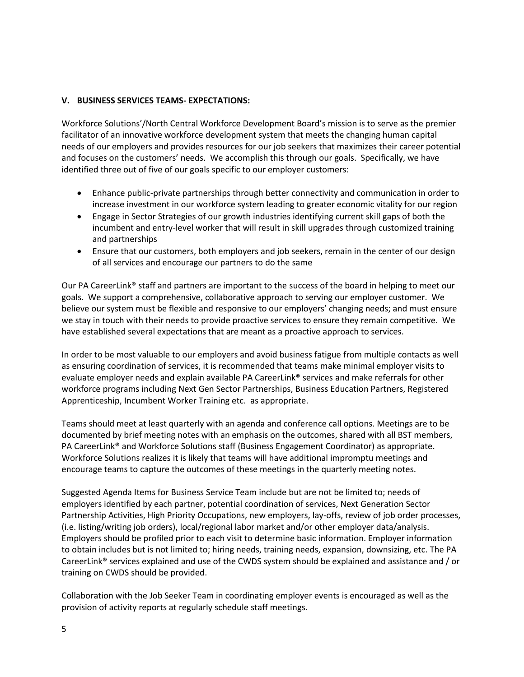## **V. BUSINESS SERVICES TEAMS- EXPECTATIONS:**

Workforce Solutions'/North Central Workforce Development Board's mission is to serve as the premier facilitator of an innovative workforce development system that meets the changing human capital needs of our employers and provides resources for our job seekers that maximizes their career potential and focuses on the customers' needs. We accomplish this through our goals. Specifically, we have identified three out of five of our goals specific to our employer customers:

- Enhance public-private partnerships through better connectivity and communication in order to increase investment in our workforce system leading to greater economic vitality for our region
- Engage in Sector Strategies of our growth industries identifying current skill gaps of both the incumbent and entry-level worker that will result in skill upgrades through customized training and partnerships
- Ensure that our customers, both employers and job seekers, remain in the center of our design of all services and encourage our partners to do the same

Our PA CareerLink® staff and partners are important to the success of the board in helping to meet our goals. We support a comprehensive, collaborative approach to serving our employer customer. We believe our system must be flexible and responsive to our employers' changing needs; and must ensure we stay in touch with their needs to provide proactive services to ensure they remain competitive. We have established several expectations that are meant as a proactive approach to services.

In order to be most valuable to our employers and avoid business fatigue from multiple contacts as well as ensuring coordination of services, it is recommended that teams make minimal employer visits to evaluate employer needs and explain available PA CareerLink® services and make referrals for other workforce programs including Next Gen Sector Partnerships, Business Education Partners, Registered Apprenticeship, Incumbent Worker Training etc. as appropriate.

Teams should meet at least quarterly with an agenda and conference call options. Meetings are to be documented by brief meeting notes with an emphasis on the outcomes, shared with all BST members, PA CareerLink® and Workforce Solutions staff (Business Engagement Coordinator) as appropriate. Workforce Solutions realizes it is likely that teams will have additional impromptu meetings and encourage teams to capture the outcomes of these meetings in the quarterly meeting notes.

Suggested Agenda Items for Business Service Team include but are not be limited to; needs of employers identified by each partner, potential coordination of services, Next Generation Sector Partnership Activities, High Priority Occupations, new employers, lay-offs, review of job order processes, (i.e. listing/writing job orders), local/regional labor market and/or other employer data/analysis. Employers should be profiled prior to each visit to determine basic information. Employer information to obtain includes but is not limited to; hiring needs, training needs, expansion, downsizing, etc. The PA CareerLink® services explained and use of the CWDS system should be explained and assistance and / or training on CWDS should be provided.

Collaboration with the Job Seeker Team in coordinating employer events is encouraged as well as the provision of activity reports at regularly schedule staff meetings.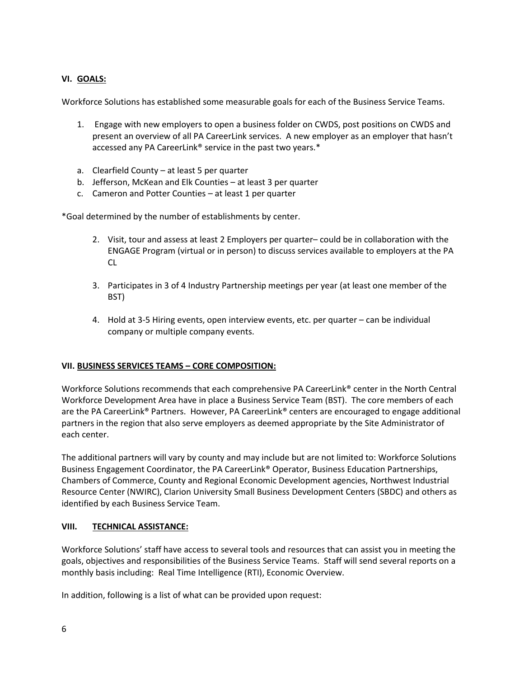## **VI. GOALS:**

Workforce Solutions has established some measurable goals for each of the Business Service Teams.

- 1. Engage with new employers to open a business folder on CWDS, post positions on CWDS and present an overview of all PA CareerLink services. A new employer as an employer that hasn't accessed any PA CareerLink® service in the past two years.\*
- a. Clearfield County at least 5 per quarter
- b. Jefferson, McKean and Elk Counties at least 3 per quarter
- c. Cameron and Potter Counties at least 1 per quarter

\*Goal determined by the number of establishments by center.

- 2. Visit, tour and assess at least 2 Employers per quarter– could be in collaboration with the ENGAGE Program (virtual or in person) to discuss services available to employers at the PA CL
- 3. Participates in 3 of 4 Industry Partnership meetings per year (at least one member of the BST)
- 4. Hold at 3-5 Hiring events, open interview events, etc. per quarter can be individual company or multiple company events.

### **VII. BUSINESS SERVICES TEAMS – CORE COMPOSITION:**

Workforce Solutions recommends that each comprehensive PA CareerLink® center in the North Central Workforce Development Area have in place a Business Service Team (BST). The core members of each are the PA CareerLink® Partners. However, PA CareerLink® centers are encouraged to engage additional partners in the region that also serve employers as deemed appropriate by the Site Administrator of each center.

The additional partners will vary by county and may include but are not limited to: Workforce Solutions Business Engagement Coordinator, the PA CareerLink® Operator, Business Education Partnerships, Chambers of Commerce, County and Regional Economic Development agencies, Northwest Industrial Resource Center (NWIRC), Clarion University Small Business Development Centers (SBDC) and others as identified by each Business Service Team.

### **VIII. TECHNICAL ASSISTANCE:**

Workforce Solutions' staff have access to several tools and resources that can assist you in meeting the goals, objectives and responsibilities of the Business Service Teams. Staff will send several reports on a monthly basis including: Real Time Intelligence (RTI), Economic Overview.

In addition, following is a list of what can be provided upon request: